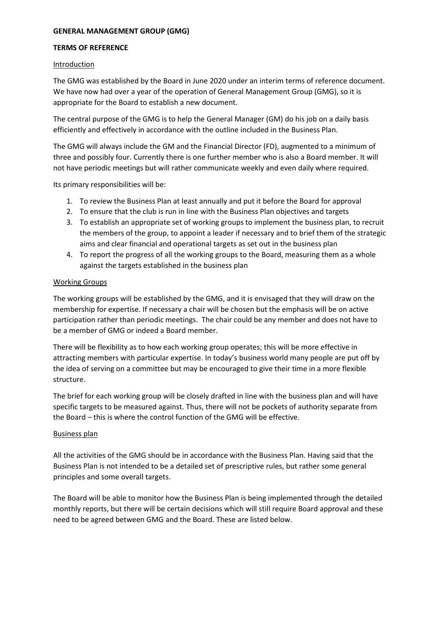# **GENERAL MANAGEMENT GROUP (GMG)**

### **TERMS OF REFERENCE**

### Introduction

The GMG was established by the Board in June 2020 under an interim terms of reference document. We have now had over a year of the operation of General Management Group (GMG), so it is appropriate for the Board to establish a new document.

The central purpose of the GMG is to help the General Manager (GM) do his job on a daily basis efficiently and effectively in accordance with the outline included in the Business Plan.

The GMG will always include the GM and the Financial Director (FD), augmented to a minimum of three and possibly four. Currently there is one further member who is also a Board member. It will not have periodic meetings but will rather communicate weekly and even daily where required.

Its primary responsibilities will be:

- 1. To review the Business Plan at least annually and put it before the Board for approval
- 2. To ensure that the club is run in line with the Business Plan objectives and targets
- 3. To establish an appropriate set of working groups to implement the business plan, to recruit the members of the group, to appoint a leader if necessary and to brief them of the strategic aims and clear financial and operational targets as set out in the business plan
- 4. To report the progress of all the working groups to the Board, measuring them as a whole against the targets established in the business plan

## Working Groups

The working groups will be established by the GMG, and it is envisaged that they will draw on the membership for expertise. If necessary a chair will be chosen but the emphasis will be on active participation rather than periodic meetings. The chair could be any member and does not have to be a member of GMG or indeed a Board member.

There will be flexibility as to how each working group operates; this will be more effective in attracting members with particular expertise. In today's business world many people are put off by the idea of serving on a committee but may be encouraged to give their time in a more flexible structure.

The brief for each working group will be closely drafted in line with the business plan and will have specific targets to be measured against. Thus, there will not be pockets of authority separate from the Board – this is where the control function of the GMG will be effective.

## Business plan

All the activities of the GMG should be in accordance with the Business Plan. Having said that the Business Plan is not intended to be a detailed set of prescriptive rules, but rather some general principles and some overall targets.

The Board will be able to monitor how the Business Plan is being implemented through the detailed monthly reports, but there will be certain decisions which will still require Board approval and these need to be agreed between GMG and the Board. These are listed below.